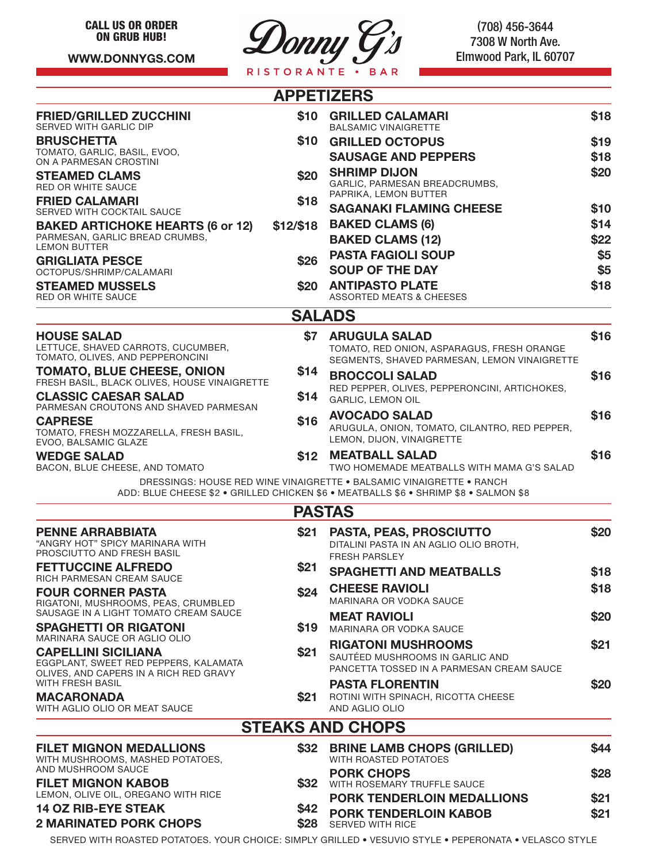**WWW.DONNYGS.COM**



(708) 456-3644 7308 W North Ave. Elmwood Park, IL 60707

|                                                                                   |           | <b>APPETIZERS</b>                                                                          |      |
|-----------------------------------------------------------------------------------|-----------|--------------------------------------------------------------------------------------------|------|
| <b>FRIED/GRILLED ZUCCHINI</b>                                                     |           | \$10 GRILLED CALAMARI                                                                      | \$18 |
| SERVED WITH GARLIC DIP<br><b>BRUSCHETTA</b>                                       |           | <b>BALSAMIC VINAIGRETTE</b><br>\$10 GRILLED OCTOPUS                                        | \$19 |
| TOMATO, GARLIC, BASIL, EVOO,                                                      |           | <b>SAUSAGE AND PEPPERS</b>                                                                 | \$18 |
| ON A PARMESAN CROSTINI                                                            |           | <b>SHRIMP DIJON</b>                                                                        | \$20 |
| <b>STEAMED CLAMS</b><br><b>RED OR WHITE SAUCE</b>                                 | \$20      | GARLIC, PARMESAN BREADCRUMBS,                                                              |      |
| <b>FRIED CALAMARI</b>                                                             | \$18      | PAPRIKA, LEMON BUTTER<br><b>SAGANAKI FLAMING CHEESE</b>                                    | \$10 |
| SERVED WITH COCKTAIL SAUCE<br><b>BAKED ARTICHOKE HEARTS (6 or 12)</b>             | \$12/\$18 | <b>BAKED CLAMS (6)</b>                                                                     | \$14 |
| PARMESAN, GARLIC BREAD CRUMBS,                                                    |           | <b>BAKED CLAMS (12)</b>                                                                    | \$22 |
| <b>LEMON BUTTER</b>                                                               | \$26      | <b>PASTA FAGIOLI SOUP</b>                                                                  | \$5  |
| <b>GRIGLIATA PESCE</b><br>OCTOPUS/SHRIMP/CALAMARI                                 |           | <b>SOUP OF THE DAY</b>                                                                     | \$5  |
| <b>STEAMED MUSSELS</b>                                                            | \$20      | <b>ANTIPASTO PLATE</b>                                                                     | \$18 |
| <b>RED OR WHITE SAUCE</b>                                                         |           | ASSORTED MEATS & CHEESES                                                                   |      |
|                                                                                   |           | <b>SALADS</b>                                                                              |      |
| <b>HOUSE SALAD</b><br>LETTUCE, SHAVED CARROTS, CUCUMBER,                          | \$7       | <b>ARUGULA SALAD</b>                                                                       | \$16 |
| TOMATO, OLIVES, AND PEPPERONCINI                                                  |           | TOMATO, RED ONION, ASPARAGUS, FRESH ORANGE<br>SEGMENTS, SHAVED PARMESAN, LEMON VINAIGRETTE |      |
| <b>TOMATO, BLUE CHEESE, ONION</b><br>FRESH BASIL, BLACK OLIVES, HOUSE VINAIGRETTE | \$14      | <b>BROCCOLI SALAD</b>                                                                      | \$16 |
| <b>CLASSIC CAESAR SALAD</b>                                                       | \$14      | RED PEPPER, OLIVES, PEPPERONCINI, ARTICHOKES,<br><b>GARLIC, LEMON OIL</b>                  |      |
| PARMESAN CROUTONS AND SHAVED PARMESAN                                             |           | <b>AVOCADO SALAD</b>                                                                       | \$16 |
| <b>CAPRESE</b><br>TOMATO, FRESH MOZZARELLA, FRESH BASIL,                          | \$16      | ARUGULA, ONION, TOMATO, CILANTRO, RED PEPPER,                                              |      |
| EVOO, BALSAMIC GLAZE                                                              |           | LEMON, DIJON, VINAIGRETTE                                                                  |      |
| <b>WEDGE SALAD</b><br>BACON, BLUE CHEESE, AND TOMATO                              | \$12      | <b>MEATBALL SALAD</b><br>TWO HOMEMADE MEATBALLS WITH MAMA G'S SALAD                        | \$16 |
|                                                                                   |           | DRESSINGS: HOUSE RED WINE VINAIGRETTE . BALSAMIC VINAIGRETTE . RANCH                       |      |
|                                                                                   |           | ADD: BLUE CHEESE \$2 . GRILLED CHICKEN \$6 . MEATBALLS \$6 . SHRIMP \$8 . SALMON \$8       |      |
|                                                                                   |           | <b>PASTAS</b>                                                                              |      |
| <b>PENNE ARRABBIATA</b>                                                           | \$21      | <b>PASTA, PEAS, PROSCIUTTO</b>                                                             | \$20 |
| "ANGRY HOT" SPICY MARINARA WITH<br>PROSCIUTTO AND FRESH BASIL                     |           | DITALINI PASTA IN AN AGLIO OLIO BROTH,<br><b>FRESH PARSLEY</b>                             |      |
| <b>FETTUCCINE ALFREDO</b>                                                         | \$21      | <b>SPAGHETTI AND MEATBALLS</b>                                                             | \$18 |
| <b>RICH PARMESAN CREAM SAUCE</b><br><b>FOUR CORNER PASTA</b>                      | \$24      | <b>CHEESE RAVIOLI</b>                                                                      | \$18 |
| RIGATONI, MUSHROOMS, PEAS, CRUMBLED                                               |           | MARINARA OR VODKA SAUCE                                                                    |      |
| SAUSAGE IN A LIGHT TOMATO CREAM SAUCE                                             |           | <b>MEAT RAVIOLI</b>                                                                        | \$20 |
| <b>SPAGHETTI OR RIGATONI</b><br>MARINARA SAUCE OR AGLIO OLIO                      | \$19      | MARINARA OR VODKA SAUCE                                                                    |      |
| <b>CAPELLINI SICILIANA</b>                                                        | \$21      | <b>RIGATONI MUSHROOMS</b><br>SAUTÉED MUSHROOMS IN GARLIC AND                               | \$21 |
| EGGPLANT, SWEET RED PEPPERS, KALAMATA<br>OLIVES, AND CAPERS IN A RICH RED GRAVY   |           | PANCETTA TOSSED IN A PARMESAN CREAM SAUCE                                                  |      |
| <b>WITH FRESH BASIL</b>                                                           |           | <b>PASTA FLORENTIN</b>                                                                     | \$20 |
| <b>MACARONADA</b><br>WITH AGLIO OLIO OR MEAT SAUCE                                | \$21      | ROTINI WITH SPINACH, RICOTTA CHEESE<br>AND AGLIO OLIO                                      |      |
|                                                                                   |           | <b>STEAKS AND CHOPS</b>                                                                    |      |
| <b>FILET MIGNON MEDALLIONS</b>                                                    |           | \$32 BRINE LAMB CHOPS (GRILLED)                                                            | \$44 |
| WITH MUSHROOMS, MASHED POTATOES,                                                  |           | WITH ROASTED POTATOES                                                                      |      |
| AND MUSHROOM SAUCE<br><b>FILET MIGNON KABOB</b>                                   | \$32      | <b>PORK CHOPS</b><br>WITH ROSEMARY TRUFFLE SAUCE                                           | \$28 |
| LEMON, OLIVE OIL, OREGANO WITH RICE                                               |           | <b>PORK TENDERLOIN MEDALLIONS</b>                                                          | \$21 |
| <b>14 OZ RIB-EYE STEAK</b>                                                        | \$42      | <b>PORK TENDERLOIN KABOB</b>                                                               | \$21 |
| <b>2 MARINATED PORK CHOPS</b>                                                     | \$28      | <b>SERVED WITH RICE</b>                                                                    |      |

SERVED WITH ROASTED POTATOES. YOUR CHOICE: SIMPLY GRILLED • VESUVIO STYLE • PEPERONATA • VELASCO STYLE